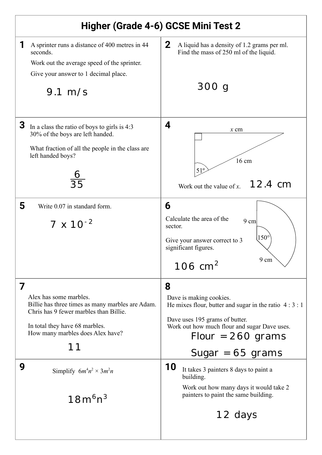